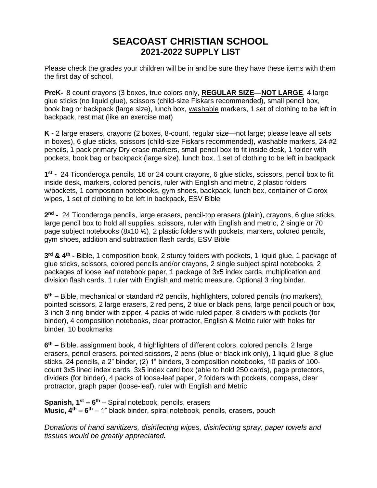## **SEACOAST CHRISTIAN SCHOOL 2021-2022 SUPPLY LIST**

Please check the grades your children will be in and be sure they have these items with them the first day of school.

**PreK-** 8 count crayons (3 boxes, true colors only, **REGULAR SIZE—NOT LARGE**, 4 large glue sticks (no liquid glue), scissors (child-size Fiskars recommended), small pencil box, book bag or backpack (large size), lunch box, washable markers, 1 set of clothing to be left in backpack, rest mat (like an exercise mat)

**K -** 2 large erasers, crayons (2 boxes, 8-count, regular size—not large; please leave all sets in boxes), 6 glue sticks, scissors (child-size Fiskars recommended), washable markers, 24 #2 pencils, 1 pack primary Dry-erase markers, small pencil box to fit inside desk, 1 folder with pockets, book bag or backpack (large size), lunch box, 1 set of clothing to be left in backpack

**1 st -** 24 Ticonderoga pencils, 16 or 24 count crayons, 6 glue sticks, scissors, pencil box to fit inside desk, markers, colored pencils, ruler with English and metric, 2 plastic folders w/pockets, 1 composition notebooks, gym shoes, backpack, lunch box, container of Clorox wipes, 1 set of clothing to be left in backpack, ESV Bible

**2 nd -** 24 Ticonderoga pencils, large erasers, pencil-top erasers (plain), crayons, 6 glue sticks, large pencil box to hold all supplies, scissors, ruler with English and metric, 2 single or 70 page subject notebooks (8x10 ½), 2 plastic folders with pockets, markers, colored pencils, gym shoes, addition and subtraction flash cards, ESV Bible

**3 rd & 4th -** Bible, 1 composition book, 2 sturdy folders with pockets, 1 liquid glue, 1 package of glue sticks, scissors, colored pencils and/or crayons, 2 single subject spiral notebooks, 2 packages of loose leaf notebook paper, 1 package of 3x5 index cards, multiplication and division flash cards, 1 ruler with English and metric measure. Optional 3 ring binder.

**5 th –** Bible, mechanical or standard #2 pencils, highlighters, colored pencils (no markers), pointed scissors, 2 large erasers, 2 red pens, 2 blue or black pens, large pencil pouch or box, 3-inch 3-ring binder with zipper, 4 packs of wide-ruled paper, 8 dividers with pockets (for binder), 4 composition notebooks, clear protractor, English & Metric ruler with holes for binder, 10 bookmarks

**6 th –** Bible, assignment book, 4 highlighters of different colors, colored pencils, 2 large erasers, pencil erasers, pointed scissors, 2 pens (blue or black ink only), 1 liquid glue, 8 glue sticks, 24 pencils, a 2" binder, (2) 1" binders, 3 composition notebooks, 10 packs of 100 count 3x5 lined index cards, 3x5 index card box (able to hold 250 cards), page protectors, dividers (for binder), 4 packs of loose-leaf paper, 2 folders with pockets, compass, clear protractor, graph paper (loose-leaf), ruler with English and Metric

**Spanish, 1st – 6 th** – Spiral notebook, pencils, erasers **Music, 4th – 6 th** – 1" black binder, spiral notebook, pencils, erasers, pouch

*Donations of hand sanitizers, disinfecting wipes, disinfecting spray, paper towels and tissues would be greatly appreciated.*